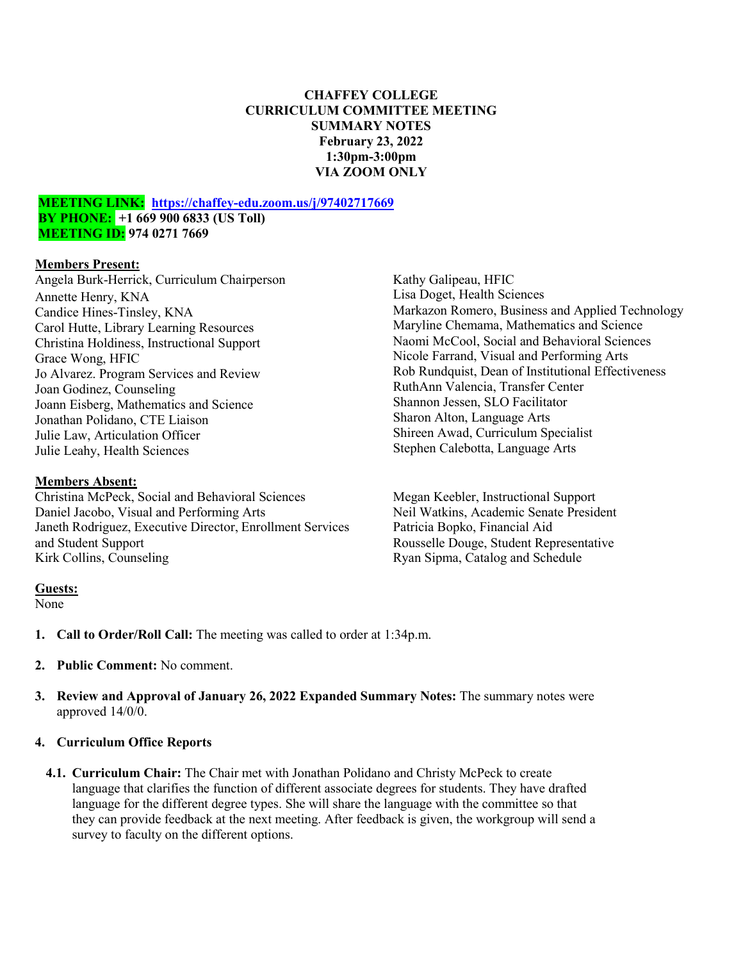### **CHAFFEY COLLEGE CURRICULUM COMMITTEE MEETING SUMMARY NOTES February 23, 2022 1:30pm-3:00pm VIA ZOOM ONLY**

#### **MEETING LINK: <https://chaffey-edu.zoom.us/j/97402717669> BY PHONE: +1 669 900 6833 (US Toll) MEETING ID: 974 0271 7669**

### **Members Present:**

Angela Burk-Herrick, Curriculum Chairperson Annette Henry, KNA Candice Hines-Tinsley, KNA Carol Hutte, Library Learning Resources Christina Holdiness, Instructional Support Grace Wong, HFIC Jo Alvarez. Program Services and Review Joan Godinez, Counseling Joann Eisberg, Mathematics and Science Jonathan Polidano, CTE Liaison Julie Law, Articulation Officer Julie Leahy, Health Sciences

### **Members Absent:**

Christina McPeck, Social and Behavioral Sciences Daniel Jacobo, Visual and Performing Arts Janeth Rodriguez, Executive Director, Enrollment Services and Student Support Kirk Collins, Counseling

### Kathy Galipeau, HFIC Lisa Doget, Health Sciences Markazon Romero, Business and Applied Technology Maryline Chemama, Mathematics and Science Naomi McCool, Social and Behavioral Sciences Nicole Farrand, Visual and Performing Arts Rob Rundquist, Dean of Institutional Effectiveness RuthAnn Valencia, Transfer Center Shannon Jessen, SLO Facilitator Sharon Alton, Language Arts Shireen Awad, Curriculum Specialist Stephen Calebotta, Language Arts

Megan Keebler, Instructional Support Neil Watkins, Academic Senate President Patricia Bopko, Financial Aid Rousselle Douge, Student Representative Ryan Sipma, Catalog and Schedule

### **Guests:**

None

- **1. Call to Order/Roll Call:** The meeting was called to order at 1:34p.m.
- **2. Public Comment:** No comment.
- **3. Review and Approval of January 26, 2022 Expanded Summary Notes:** The summary notes were approved 14/0/0.

### **4. Curriculum Office Reports**

**4.1. Curriculum Chair:** The Chair met with Jonathan Polidano and Christy McPeck to create language that clarifies the function of different associate degrees for students. They have drafted language for the different degree types. She will share the language with the committee so that they can provide feedback at the next meeting. After feedback is given, the workgroup will send a survey to faculty on the different options.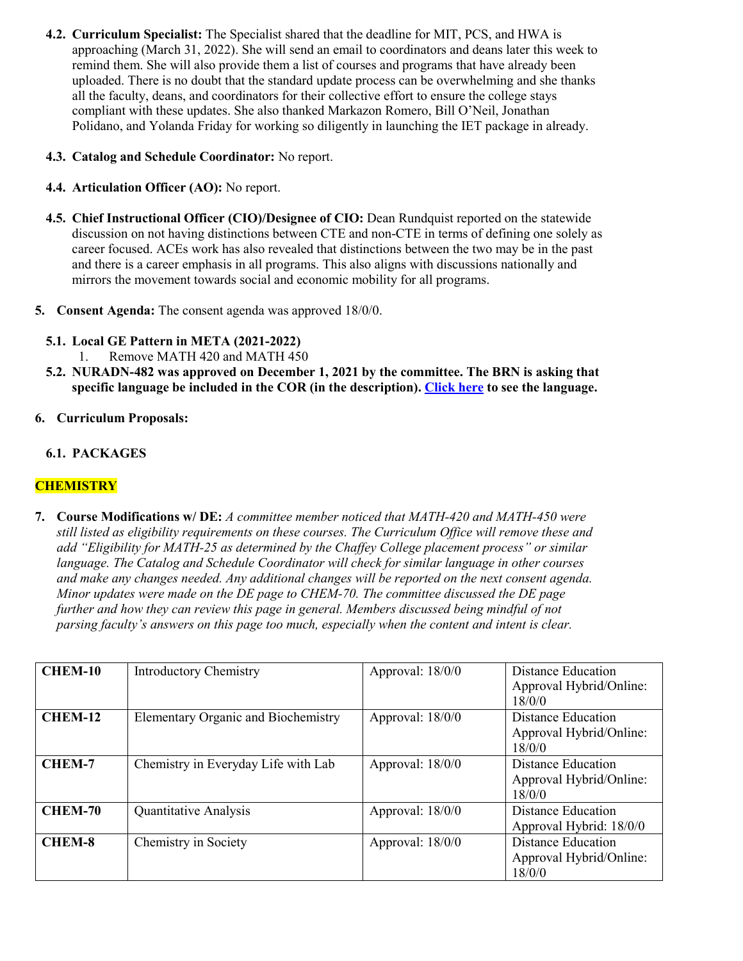- **4.2. Curriculum Specialist:** The Specialist shared that the deadline for MIT, PCS, and HWA is approaching (March 31, 2022). She will send an email to coordinators and deans later this week to remind them. She will also provide them a list of courses and programs that have already been uploaded. There is no doubt that the standard update process can be overwhelming and she thanks all the faculty, deans, and coordinators for their collective effort to ensure the college stays compliant with these updates. She also thanked Markazon Romero, Bill O'Neil, Jonathan Polidano, and Yolanda Friday for working so diligently in launching the IET package in already.
- **4.3. Catalog and Schedule Coordinator:** No report.
- **4.4. Articulation Officer (AO):** No report.
- **4.5. Chief Instructional Officer (CIO)/Designee of CIO:** Dean Rundquist reported on the statewide discussion on not having distinctions between CTE and non-CTE in terms of defining one solely as career focused. ACEs work has also revealed that distinctions between the two may be in the past and there is a career emphasis in all programs. This also aligns with discussions nationally and mirrors the movement towards social and economic mobility for all programs.
- **5. Consent Agenda:** The consent agenda was approved 18/0/0.
	- **5.1. Local GE Pattern in META (2021-2022)**
		- 1. Remove MATH 420 and MATH 450
	- **5.2. NURADN-482 was approved on December 1, 2021 by the committee. The BRN is asking that specific language be included in the COR (in the description). [Click here](https://chaffey.curriqunet.com/DynamicReports/AllFieldsReportByEntity/6723?entityType=Course&reportId=211) to see the language.**
- **6. Curriculum Proposals:**
	- **6.1. PACKAGES**

# **CHEMISTRY**

**7. Course Modifications w/ DE:** *A committee member noticed that MATH-420 and MATH-450 were still listed as eligibility requirements on these courses. The Curriculum Office will remove these and add "Eligibility for MATH-25 as determined by the Chaffey College placement process" or similar language. The Catalog and Schedule Coordinator will check for similar language in other courses and make any changes needed. Any additional changes will be reported on the next consent agenda. Minor updates were made on the DE page to CHEM-70. The committee discussed the DE page further and how they can review this page in general. Members discussed being mindful of not parsing faculty's answers on this page too much, especially when the content and intent is clear.* 

| <b>CHEM-10</b> | <b>Introductory Chemistry</b>              | Approval: $18/0/0$ | Distance Education<br>Approval Hybrid/Online:<br>18/0/0        |
|----------------|--------------------------------------------|--------------------|----------------------------------------------------------------|
| <b>CHEM-12</b> | <b>Elementary Organic and Biochemistry</b> | Approval: 18/0/0   | <b>Distance Education</b><br>Approval Hybrid/Online:<br>18/0/0 |
| <b>CHEM-7</b>  | Chemistry in Everyday Life with Lab        | Approval: 18/0/0   | <b>Distance Education</b><br>Approval Hybrid/Online:<br>18/0/0 |
| <b>CHEM-70</b> | Quantitative Analysis                      | Approval: $18/0/0$ | Distance Education<br>Approval Hybrid: 18/0/0                  |
| <b>CHEM-8</b>  | Chemistry in Society                       | Approval: 18/0/0   | <b>Distance Education</b><br>Approval Hybrid/Online:<br>18/0/0 |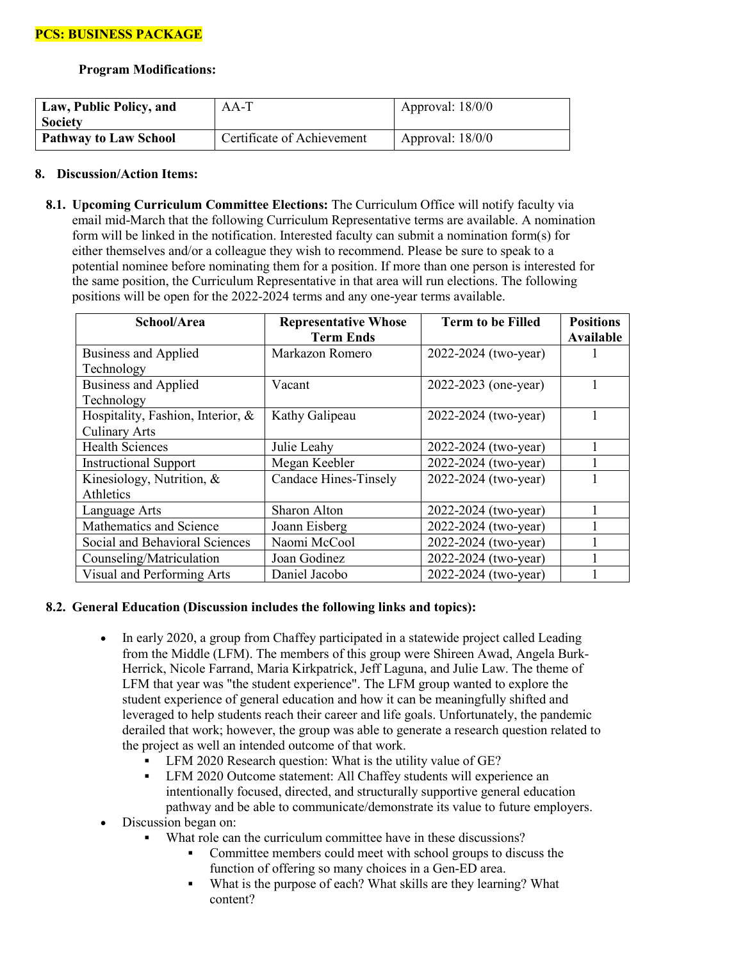**Program Modifications:**

| Law, Public Policy, and<br><b>Society</b> | $AA-T$                     | Approval: $18/0/0$ |
|-------------------------------------------|----------------------------|--------------------|
| <b>Pathway to Law School</b>              | Certificate of Achievement | Approval: $18/0/0$ |

### **8. Discussion/Action Items:**

**8.1. Upcoming Curriculum Committee Elections:** The Curriculum Office will notify faculty via email mid-March that the following Curriculum Representative terms are available. A nomination form will be linked in the notification. Interested faculty can submit a nomination form(s) for either themselves and/or a colleague they wish to recommend. Please be sure to speak to a potential nominee before nominating them for a position. If more than one person is interested for the same position, the Curriculum Representative in that area will run elections. The following positions will be open for the 2022-2024 terms and any one-year terms available.

| School/Area                                               | <b>Representative Whose</b><br><b>Term Ends</b> | <b>Term to be Filled</b> | <b>Positions</b><br>Available |
|-----------------------------------------------------------|-------------------------------------------------|--------------------------|-------------------------------|
| <b>Business and Applied</b><br>Technology                 | Markazon Romero                                 | 2022-2024 (two-year)     |                               |
| <b>Business and Applied</b><br>Technology                 | Vacant                                          | 2022-2023 (one-year)     |                               |
| Hospitality, Fashion, Interior, &<br><b>Culinary Arts</b> | Kathy Galipeau                                  | 2022-2024 (two-year)     |                               |
| <b>Health Sciences</b>                                    | Julie Leahy                                     | 2022-2024 (two-year)     |                               |
| <b>Instructional Support</b>                              | Megan Keebler                                   | 2022-2024 (two-year)     |                               |
| Kinesiology, Nutrition, &<br>Athletics                    | Candace Hines-Tinsely                           | 2022-2024 (two-year)     |                               |
| Language Arts                                             | Sharon Alton                                    | 2022-2024 (two-year)     |                               |
| Mathematics and Science                                   | Joann Eisberg                                   | 2022-2024 (two-year)     |                               |
| Social and Behavioral Sciences                            | Naomi McCool                                    | 2022-2024 (two-year)     |                               |
| Counseling/Matriculation                                  | Joan Godinez                                    | 2022-2024 (two-year)     |                               |
| Visual and Performing Arts                                | Daniel Jacobo                                   | 2022-2024 (two-year)     |                               |

## **8.2. General Education (Discussion includes the following links and topics):**

- In early 2020, a group from Chaffey participated in a statewide project called Leading from the Middle (LFM). The members of this group were Shireen Awad, Angela Burk-Herrick, Nicole Farrand, Maria Kirkpatrick, Jeff Laguna, and Julie Law. The theme of LFM that year was "the student experience". The LFM group wanted to explore the student experience of general education and how it can be meaningfully shifted and leveraged to help students reach their career and life goals. Unfortunately, the pandemic derailed that work; however, the group was able to generate a research question related to the project as well an intended outcome of that work.
	- LFM 2020 Research question: What is the utility value of GE?
	- **EVALUATE:** LFM 2020 Outcome statement: All Chaffey students will experience an intentionally focused, directed, and structurally supportive general education pathway and be able to communicate/demonstrate its value to future employers.
- Discussion began on:
	- What role can the curriculum committee have in these discussions?
		- Committee members could meet with school groups to discuss the function of offering so many choices in a Gen-ED area.
		- What is the purpose of each? What skills are they learning? What content?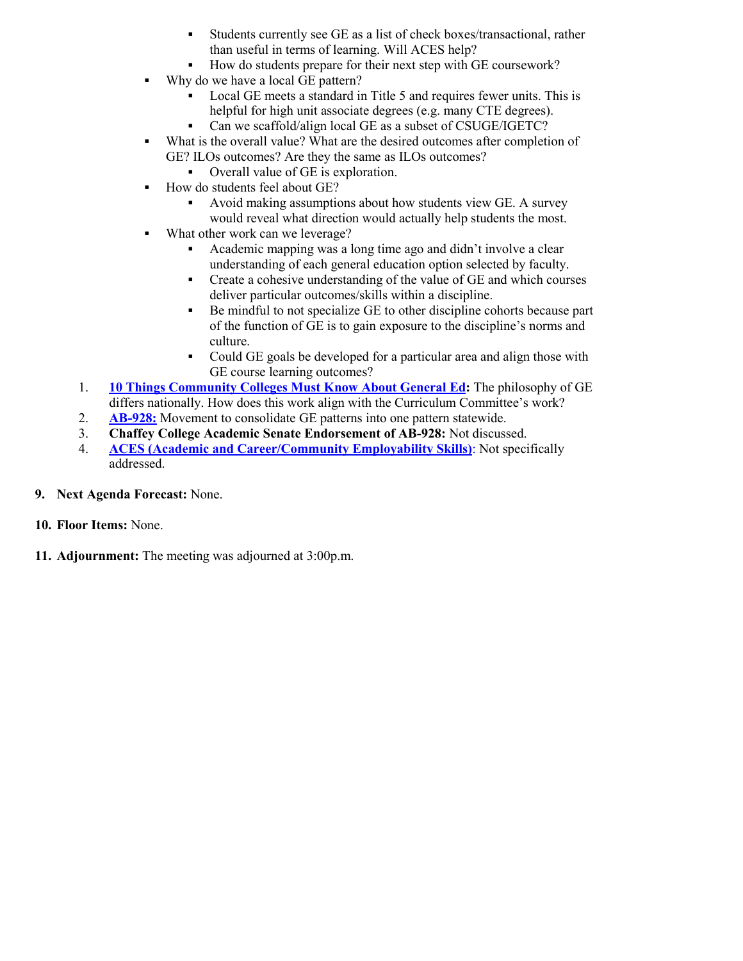- Students currently see GE as a list of check boxes/transactional, rather than useful in terms of learning. Will ACES help?
- How do students prepare for their next step with GE coursework?
- Why do we have a local GE pattern?
	- Local GE meets a standard in Title 5 and requires fewer units. This is helpful for high unit associate degrees (e.g. many CTE degrees).
	- Can we scaffold/align local GE as a subset of CSUGE/IGETC?
- What is the overall value? What are the desired outcomes after completion of GE? ILOs outcomes? Are they the same as ILOs outcomes?
	- Overall value of GE is exploration.
- How do students feel about GE?
	- Avoid making assumptions about how students view GE. A survey would reveal what direction would actually help students the most.
- What other work can we leverage?
	- Academic mapping was a long time ago and didn't involve a clear understanding of each general education option selected by faculty.
	- Create a cohesive understanding of the value of GE and which courses deliver particular outcomes/skills within a discipline.
	- Be mindful to not specialize GE to other discipline cohorts because part of the function of GE is to gain exposure to the discipline's norms and culture.
	- Could GE goals be developed for a particular area and align those with GE course learning outcomes?
- 1. **[10 Things Community Colleges Must Know About General Ed:](https://www.insidehighered.com/views/2022/02/16/study-maps-state-gen-ed-community-colleges-opinion)** The philosophy of GE differs nationally. How does this work align with the Curriculum Committee's work?
- 2. **[AB-928:](https://leginfo.legislature.ca.gov/faces/billTextClient.xhtml?bill_id=202120220AB928)** Movement to consolidate GE patterns into one pattern statewide.
- 3. **Chaffey College Academic Senate Endorsement of AB-928:** Not discussed.
- 4. **[ACES \(Academic and Career/Community Employability Skills\)](https://docs.google.com/document/d/1Qq4PMe9DGxOff2BiYVH3tXZdAXrRf-Fwwid53nq1-4w/edit?usp=sharing)**: Not specifically addressed.
- **9. Next Agenda Forecast:** None.
- **10. Floor Items:** None.
- **11. Adjournment:** The meeting was adjourned at 3:00p.m.